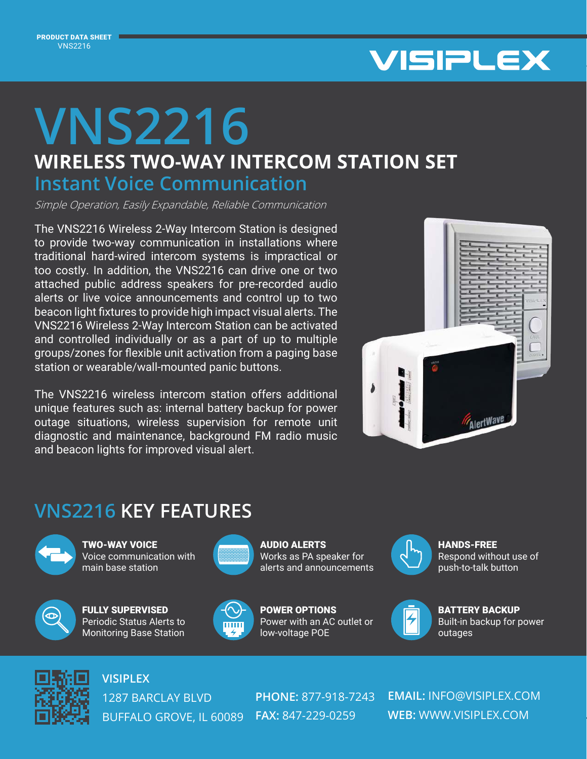

## **WIRELESS TWO-WAY INTERCOM STATION SET VNS2216 Instant Voice Communication**

Simple Operation, Easily Expandable, Reliable Communication

The VNS2216 Wireless 2-Way Intercom Station is designed to provide two-way communication in installations where traditional hard-wired intercom systems is impractical or too costly. In addition, the VNS2216 can drive one or two attached public address speakers for pre-recorded audio alerts or live voice announcements and control up to two beacon light fixtures to provide high impact visual alerts. The VNS2216 Wireless 2-Way Intercom Station can be activated and controlled individually or as a part of up to multiple groups/zones for flexible unit activation from a paging base station or wearable/wall-mounted panic buttons.

The VNS2216 wireless intercom station offers additional unique features such as: internal battery backup for power outage situations, wireless supervision for remote unit diagnostic and maintenance, background FM radio music and beacon lights for improved visual alert.



## **VNS2216 KEY FEATURES**



TWO-WAY VOICE Voice communication with main base station



FULLY SUPERVISED Periodic Status Alerts to Monitoring Base Station



AUDIO ALERTS Works as PA speaker for alerts and announcements



HANDS-FREE Respond without use of push-to-talk button



POWER OPTIONS Power with an AC outlet or low-voltage POE



BATTERY BACKUP Built-in backup for power outages



**VISIPLEX**

1287 BARCLAY BLVD BUFFALO GROVE, IL 60089 **FAX:** 847-229-0259

**PHONE:** 877-918-7243

**EMAIL:** INFO@VISIPLEX.COM **WEB:** WWW.VISIPLEX.COM